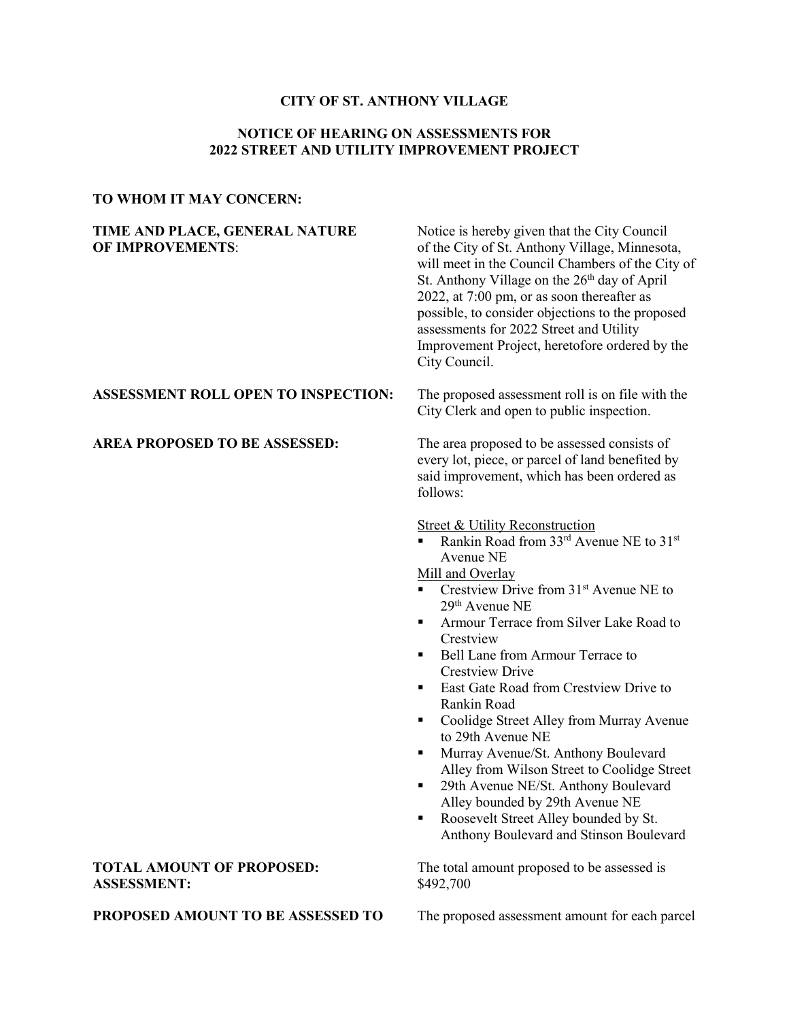# **CITY OF ST. ANTHONY VILLAGE**

# **NOTICE OF HEARING ON ASSESSMENTS FOR 2022 STREET AND UTILITY IMPROVEMENT PROJECT**

# **TO WHOM IT MAY CONCERN:**

**TIME AND PLACE, GENERAL NATURE** Notice is hereby given that the City Council **OF IMPROVEMENTS:** of the City of St. Anthony Village, Minnesota, will meet in the Council Chambers of the City of St. Anthony Village on the  $26<sup>th</sup>$  day of April 2022, at 7:00 pm, or as soon thereafter as possible, to consider objections to the proposed assessments for 2022 Street and Utility Improvement Project, heretofore ordered by the City Council.

### **ASSESSMENT ROLL OPEN TO INSPECTION:** The proposed assessment roll is on file with the

**AREA PROPOSED TO BE ASSESSED:** The area proposed to be assessed consists of every lot, piece, or parcel of land benefited by said improvement, which has been ordered as follows:

City Clerk and open to public inspection.

**Street & Utility Reconstruction** 

 Rankin Road from 33rd Avenue NE to 31st Avenue NE

Mill and Overlay

- Crestview Drive from 31st Avenue NE to 29th Avenue NE
- **F** Armour Terrace from Silver Lake Road to Crestview
- Bell Lane from Armour Terrace to Crestview Drive
- **East Gate Road from Crestview Drive to** Rankin Road
- Coolidge Street Alley from Murray Avenue to 29th Avenue NE
- **Murray Avenue/St. Anthony Boulevard** Alley from Wilson Street to Coolidge Street
- <sup>29th</sup> Avenue NE/St. Anthony Boulevard Alley bounded by 29th Avenue NE
- Roosevelt Street Alley bounded by St. Anthony Boulevard and Stinson Boulevard

**TOTAL AMOUNT OF PROPOSED:** The total amount proposed to be assessed is

**ASSESSMENT:** \$492,700

**PROPOSED AMOUNT TO BE ASSESSED TO** The proposed assessment amount for each parcel